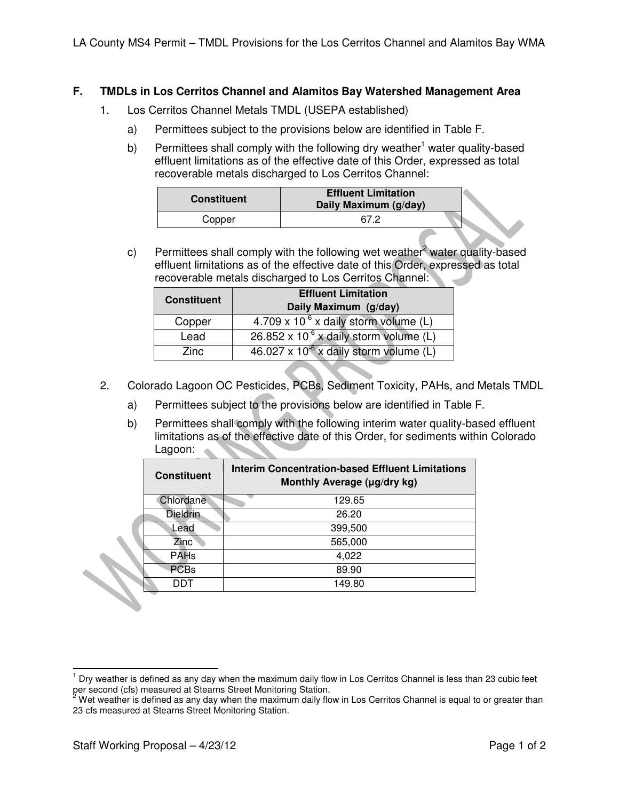## **F. TMDLs in Los Cerritos Channel and Alamitos Bay Watershed Management Area**

- 1. Los Cerritos Channel Metals TMDL (USEPA established)
	- a) Permittees subject to the provisions below are identified in Table F.
	- b) Permittees shall comply with the following dry weather<sup>1</sup> water quality-based effluent limitations as of the effective date of this Order, expressed as total recoverable metals discharged to Los Cerritos Channel:

| <b>Constituent</b> | <b>Effluent Limitation</b><br>Daily Maximum (g/day) |  |
|--------------------|-----------------------------------------------------|--|
| Copper             | 67.2                                                |  |

c) Permittees shall comply with the following wet weather<sup>2</sup> water quality-based effluent limitations as of the effective date of this Order, expressed as total recoverable metals discharged to Los Cerritos Channel:

| <b>Constituent</b> | <b>Effluent Limitation</b>                            |  |  |
|--------------------|-------------------------------------------------------|--|--|
|                    | Daily Maximum (g/day)                                 |  |  |
| Copper             | 4.709 x $10^{-6}$ x daily storm volume (L)            |  |  |
| Lead               | 26.852 x $10^{-6}$ x daily storm volume (L)           |  |  |
| Zinc.              | $46.027 \times 10^{-6} \times$ daily storm volume (L) |  |  |

- 2. Colorado Lagoon OC Pesticides, PCBs, Sediment Toxicity, PAHs, and Metals TMDL
	- a) Permittees subject to the provisions below are identified in Table F.
	- b) Permittees shall comply with the following interim water quality-based effluent limitations as of the effective date of this Order, for sediments within Colorado Lagoon:

| <b>Constituent</b> | <b>Interim Concentration-based Effluent Limitations</b><br>Monthly Average (µg/dry kg) |  |  |  |  |
|--------------------|----------------------------------------------------------------------------------------|--|--|--|--|
| Chlordane          | 129.65                                                                                 |  |  |  |  |
| <b>Dieldrin</b>    | 26.20                                                                                  |  |  |  |  |
| Lead               | 399,500                                                                                |  |  |  |  |
| Zinc <sup>®</sup>  | 565,000                                                                                |  |  |  |  |
| <b>PAHs</b>        | 4,022                                                                                  |  |  |  |  |
| <b>PCBs</b>        | 89.90                                                                                  |  |  |  |  |
| דחח                | 149.80                                                                                 |  |  |  |  |
|                    |                                                                                        |  |  |  |  |

 $\overline{a}$ 1 Dry weather is defined as any day when the maximum daily flow in Los Cerritos Channel is less than 23 cubic feet

per second (cfs) measured at Stearns Street Monitoring Station.<br><sup>2</sup> Wet weather is defined as any day when the maximum daily flow in Los Cerritos Channel is equal to or greater than 23 cfs measured at Stearns Street Monitoring Station.